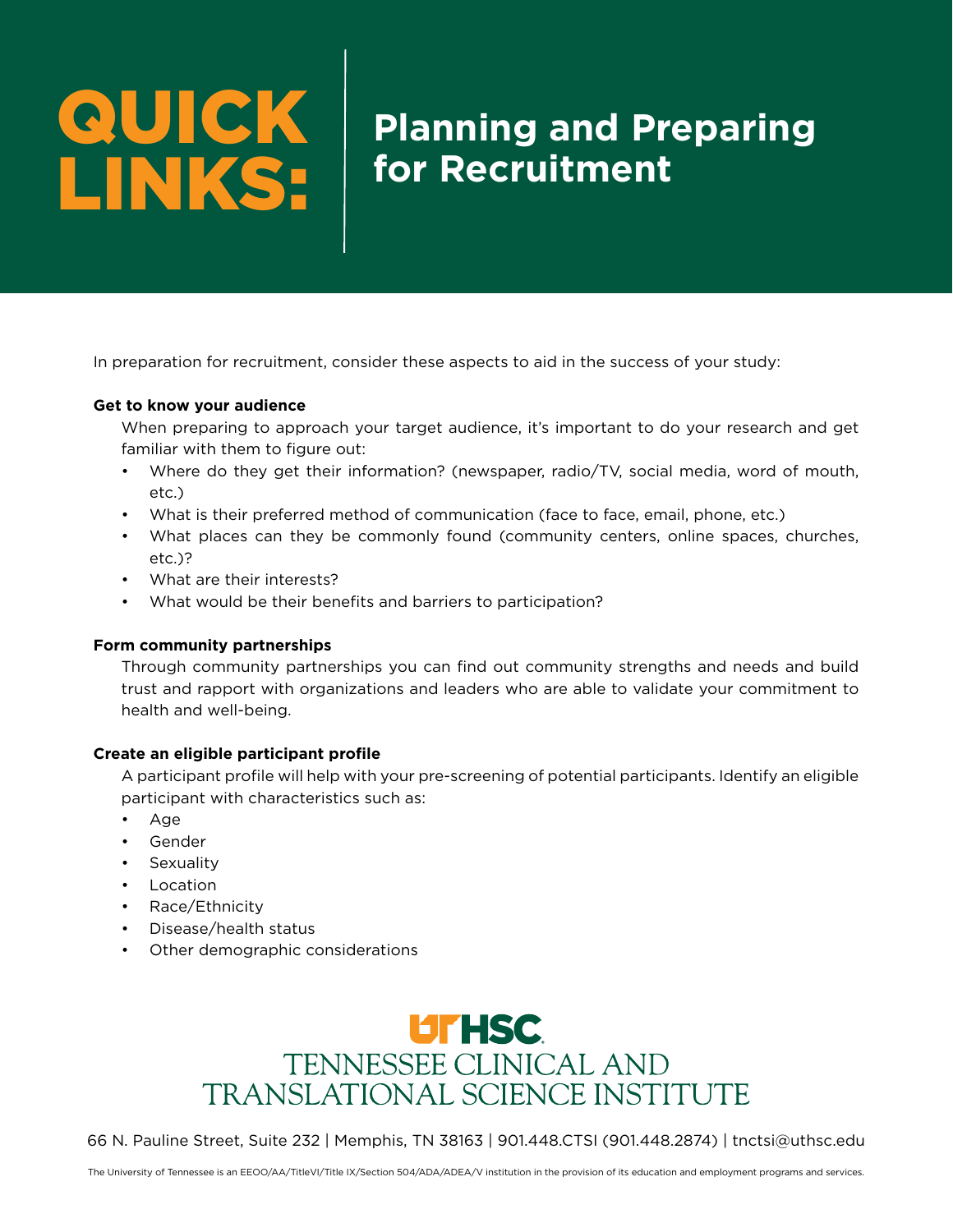# QUICK LINKS:

## **Planning and Preparing for Recruitment**

In preparation for recruitment, consider these aspects to aid in the success of your study:

#### **Get to know your audience**

When preparing to approach your target audience, it's important to do your research and get familiar with them to figure out:

- Where do they get their information? (newspaper, radio/TV, social media, word of mouth, etc.)
- What is their preferred method of communication (face to face, email, phone, etc.)
- What places can they be commonly found (community centers, online spaces, churches, etc.)?
- What are their interests?
- What would be their benefits and barriers to participation?

#### **Form community partnerships**

Through community partnerships you can find out community strengths and needs and build trust and rapport with organizations and leaders who are able to validate your commitment to health and well-being.

### **Create an eligible participant profile**

A participant profile will help with your pre-screening of potential participants. Identify an eligible participant with characteristics such as:

- Age
- Gender
- **Sexuality**
- Location
- Race/Ethnicity
- Disease/health status
- Other demographic considerations



66 N. Pauline Street, Suite 232 | Memphis, TN 38163 | 901.448.CTSI (901.448.2874) | tnctsi@uthsc.edu